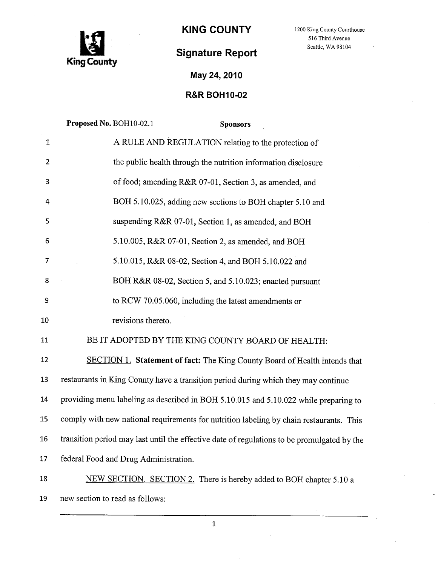

KING COUNTY 1200 King County Courthouse

516 Third Avenue

## Signature Report Seattle, WA 98104

May 24, 2010

## R&R BOH10-02

|                 | Proposed No. BOH10-02.1<br><b>Sponsors</b>                                                  |
|-----------------|---------------------------------------------------------------------------------------------|
| $\mathbf{1}$    | A RULE AND REGULATION relating to the protection of                                         |
| $\overline{2}$  | the public health through the nutrition information disclosure                              |
| 3               | of food; amending R&R 07-01, Section 3, as amended, and                                     |
| 4               | BOH 5.10.025, adding new sections to BOH chapter 5.10 and                                   |
| 5               | suspending R&R 07-01, Section 1, as amended, and BOH                                        |
| 6               | 5.10.005, R&R 07-01, Section 2, as amended, and BOH                                         |
| 7               | 5.10.015, R&R 08-02, Section 4, and BOH 5.10.022 and                                        |
| 8               | BOH R&R 08-02, Section 5, and 5.10.023; enacted pursuant                                    |
| 9               | to RCW 70.05.060, including the latest amendments or                                        |
| 10              | revisions thereto.                                                                          |
| 11              | BE IT ADOPTED BY THE KING COUNTY BOARD OF HEALTH:                                           |
| 12              | SECTION 1. Statement of fact: The King County Board of Health intends that                  |
| 13              | restaurants in King County have a transition period during which they may continue          |
| 14              | providing menu labeling as described in BOH 5.10.015 and 5.10.022 while preparing to        |
| 15              | comply with new national requirements for nutrition labeling by chain restaurants. This     |
| 16 <sup>1</sup> | transition period may last until the effective date of regulations to be promulgated by the |
| 17              | federal Food and Drug Administration.                                                       |
| 18              | NEW SECTION. SECTION 2. There is hereby added to BOH chapter 5.10 a                         |
| $19$ .          | new section to read as follows:                                                             |

1

 $\bar{z}$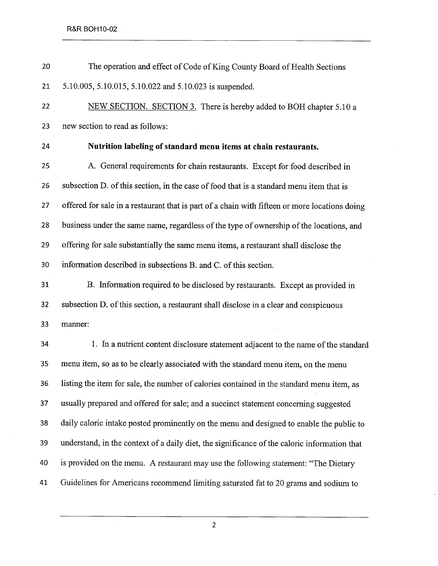| 20 | The operation and effect of Code of King County Board of Health Sections                      |
|----|-----------------------------------------------------------------------------------------------|
| 21 | 5.10.005, 5.10.015, 5.10.022 and 5.10.023 is suspended.                                       |
| 22 | NEW SECTION. SECTION 3. There is hereby added to BOH chapter 5.10 a                           |
| 23 | new section to read as follows:                                                               |
| 24 | Nutrition labeling of standard menu items at chain restaurants.                               |
| 25 | A. General requirements for chain restaurants. Except for food described in                   |
| 26 | subsection D. of this section, in the case of food that is a standard menu item that is       |
| 27 | offered for sale in a restaurant that is part of a chain with fifteen or more locations doing |
| 28 | business under the same name, regardless of the type of ownership of the locations, and       |
| 29 | offering for sale substantially the same menu items, a restaurant shall disclose the          |
| 30 | information described in subsections B. and C. of this section.                               |
| 31 | B. Information required to be disclosed by restaurants. Except as provided in                 |
| 32 | subsection D. of this section, a restaurant shall disclose in a clear and conspicuous         |
| 33 | manner:                                                                                       |
| 34 | 1. In a nutrient content disclosure statement adjacent to the name of the standard            |
| 35 | menu item, so as to be clearly associated with the standard menu item, on the menu            |
| 36 | listing the item for sale, the number of calories contained in the standard menu item, as     |
| 37 | usually prepared and offered for sale; and a succinct statement concerning suggested          |
| 38 | daily caloric intake posted prominently on the menu and designed to enable the public to      |
| 39 | understand, in the context of a daily diet, the significance of the caloric information that  |
| 40 | is provided on the menu. A restaurant may use the following statement: "The Dietary           |
| 41 | Guidelines for Americans recommend limiting saturated fat to 20 grams and sodium to           |
|    |                                                                                               |

2

 $\sim$ 

 $\ddot{\phantom{a}}$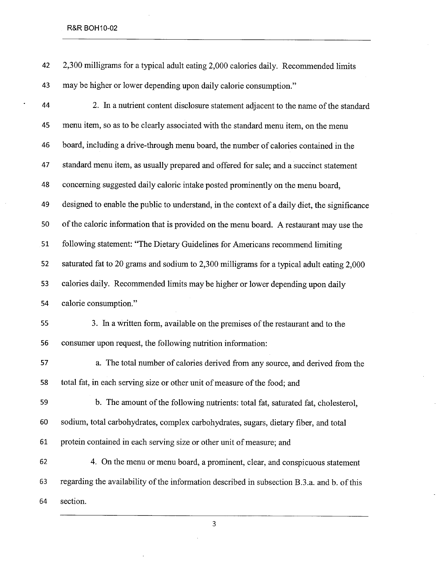## R&R BOH10-02

|    | 42 2,300 milligrams for a typical adult eating 2,000 calories daily. Recommended limits |
|----|-----------------------------------------------------------------------------------------|
| 43 | may be higher or lower depending upon daily calorie consumption."                       |

| 44 | 2. In a nutrient content disclosure statement adjacent to the name of the standard            |
|----|-----------------------------------------------------------------------------------------------|
| 45 | menu item, so as to be clearly associated with the standard menu item, on the menu            |
| 46 | board, including a drive-through menu board, the number of calories contained in the          |
| 47 | standard menu item, as usually prepared and offered for sale; and a succinct statement        |
| 48 | concerning suggested daily caloric intake posted prominently on the menu board,               |
| 49 | designed to enable the public to understand, in the context of a daily diet, the significance |
| 50 | of the caloric information that is provided on the menu board. A restaurant may use the       |
| 51 | following statement: "The Dietary Guidelines for Americans recommend limiting                 |
| 52 | saturated fat to 20 grams and sodium to 2,300 milligrams for a typical adult eating 2,000     |
| 53 | calories daily. Recommended limits may be higher or lower depending upon daily                |
| 54 | calorie consumption."                                                                         |
| 55 | 3. In a written form, available on the premises of the restaurant and to the                  |
| 56 | consumer upon request, the following nutrition information:                                   |
| 57 | a. The total number of calories derived from any source, and derived from the                 |
| 58 | total fat, in each serving size or other unit of measure of the food; and                     |
| 59 | b. The amount of the following nutrients: total fat, saturated fat, cholesterol,              |
| 60 | sodium, total carbohydrates, complex carbohydrates, sugars, dietary fiber, and total          |
| 61 | protein contained in each serving size or other unit of measure; and                          |
| 62 | 4. On the menu or menu board, a prominent, clear, and conspicuous statement                   |
| 63 | regarding the availability of the information described in subsection B.3.a. and b. of this   |
|    |                                                                                               |

64 section.

3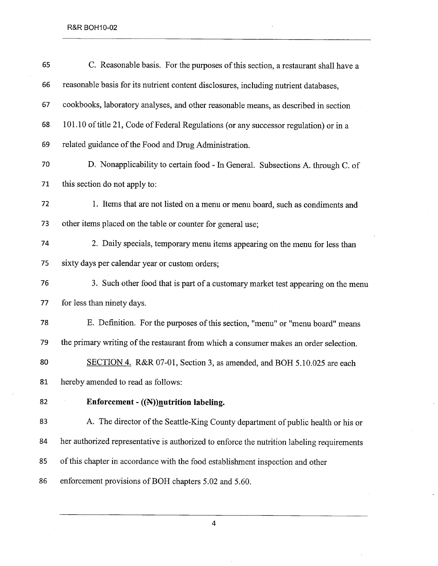| 65 | C. Reasonable basis. For the purposes of this section, a restaurant shall have a           |
|----|--------------------------------------------------------------------------------------------|
| 66 | reasonable basis for its nutrient content disclosures, including nutrient databases,       |
| 67 | cookbooks, laboratory analyses, and other reasonable means, as described in section        |
| 68 | 101.10 of title 21, Code of Federal Regulations (or any successor regulation) or in a      |
| 69 | related guidance of the Food and Drug Administration.                                      |
| 70 | D. Nonapplicability to certain food - In General. Subsections A. through C. of             |
| 71 | this section do not apply to:                                                              |
| 72 | 1. Items that are not listed on a menu or menu board, such as condiments and               |
| 73 | other items placed on the table or counter for general use;                                |
| 74 | 2. Daily specials, temporary menu items appearing on the menu for less than                |
| 75 | sixty days per calendar year or custom orders;                                             |
| 76 | 3. Such other food that is part of a customary market test appearing on the menu           |
| 77 | for less than ninety days.                                                                 |
| 78 | E. Definition. For the purposes of this section, "menu" or "menu board" means              |
| 79 | the primary writing of the restaurant from which a consumer makes an order selection.      |
| 80 | SECTION 4. R&R 07-01, Section 3, as amended, and BOH 5.10.025 are each                     |
| 81 | hereby amended to read as follows:                                                         |
| 82 | Enforcement - ((N))nutrition labeling.                                                     |
| 83 | A. The director of the Seattle-King County department of public health or his or           |
| 84 | her authorized representative is authorized to enforce the nutrition labeling requirements |
| 85 | of this chapter in accordance with the food establishment inspection and other             |
| 86 | enforcement provisions of BOH chapters 5.02 and 5.60.                                      |

4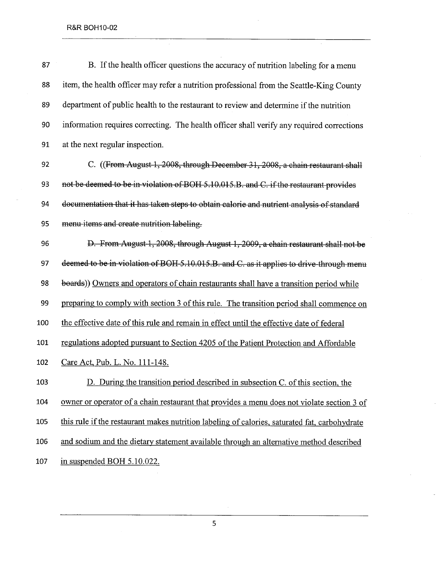| 87  | B. If the health officer questions the accuracy of nutrition labeling for a menu              |
|-----|-----------------------------------------------------------------------------------------------|
| 88  | item, the health officer may refer a nutrition professional from the Seattle-King County      |
| 89  | department of public health to the restaurant to review and determine if the nutrition        |
| 90  | information requires correcting. The health officer shall verify any required corrections     |
| 91  | at the next regular inspection.                                                               |
| 92  | C. ((From August 1, 2008, through December 31, 2008, a chain restaurant shall                 |
| 93  | not be deemed to be in violation of BOH 5.10.015.B. and C. if the restaurant provides         |
| 94  | documentation that it has taken steps to obtain calorie and nutrient analysis of standard     |
| 95  | menu-items and create nutrition labeling.                                                     |
| 96  | D. From August 1, 2008, through August 1, 2009, a chain restaurant shall not be               |
| 97  | deemed to be in violation of BOH 5.10.015.B. and C. as it applies to drive-through menu       |
| 98  | boards)) Owners and operators of chain restaurants shall have a transition period while       |
| 99  | preparing to comply with section 3 of this rule. The transition period shall commence on      |
| 100 | the effective date of this rule and remain in effect until the effective date of federal      |
| 101 | regulations adopted pursuant to Section 4205 of the Patient Protection and Affordable         |
| 102 | Care Act, Pub. L. No. 111-148.                                                                |
| 103 | D. During the transition period described in subsection C. of this section, the               |
| 104 | owner or operator of a chain restaurant that provides a menu does not violate section 3 of    |
| 105 | this rule if the restaurant makes nutrition labeling of calories, saturated fat, carbohydrate |
| 106 | and sodium and the dietary statement available through an alternative method described        |
| 107 | in suspended BOH 5.10.022.                                                                    |

 $\alpha$ 

5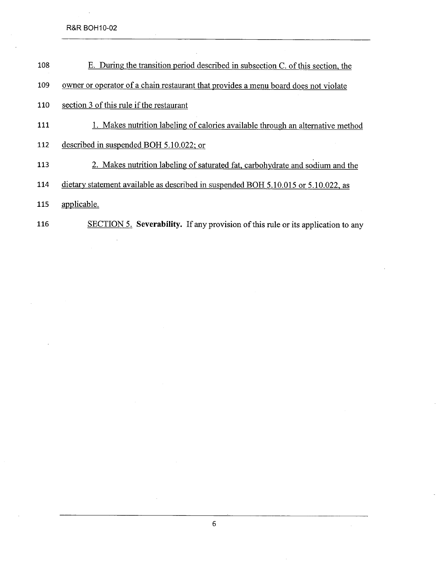R&R BOH10-02

- 108 E. During the transition period described in subsection C. of this section, the
- 109 owner or operator of a chain restaurant that provides a menu board does not violate
- 110 section 3 of this rule if the restaurant
- 111 1. Makes nutrition labeling of calories available through an alternative method
- 112 described in suspended BOH 5.10.022: or
- 113 2. Makes nutrition labeling of saturated fat, carbohydrate and sodium and the
- 114 dietary statement available as described in suspended BOH 5.10.015 or 5.10.022, as
- 115 applicable.
- 116 SECTION 5. Severability. If any provision of this rule or its application to any